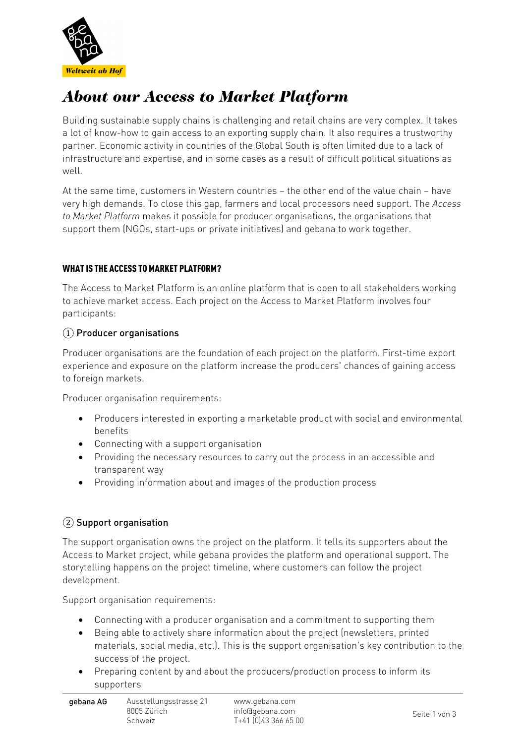

# *About our Access to Market Platform*

Building sustainable supply chains is challenging and retail chains are very complex. It takes a lot of know-how to gain access to an exporting supply chain. It also requires a trustworthy partner. Economic activity in countries of the Global South is often limited due to a lack of infrastructure and expertise, and in some cases as a result of difficult political situations as well.

At the same time, customers in Western countries – the other end of the value chain – have very high demands. To close this gap, farmers and local processors need support. The *Access to Market Platform* makes it possible for producer organisations, the organisations that support them (NGOs, start-ups or private initiatives) and gebana to work together.

### **WHAT IS THE ACCESS TO MARKET PLATFORM?**

The Access to Market Platform is an online platform that is open to all stakeholders working to achieve market access. Each project on the Access to Market Platform involves four participants:

### ① Producer organisations

Producer organisations are the foundation of each project on the platform. First-time export experience and exposure on the platform increase the producers' chances of gaining access to foreign markets.

Producer organisation requirements:

- Producers interested in exporting a marketable product with social and environmental benefits
- Connecting with a support organisation
- Providing the necessary resources to carry out the process in an accessible and transparent way
- Providing information about and images of the production process

### ② Support organisation

The support organisation owns the project on the platform. It tells its supporters about the Access to Market project, while gebana provides the platform and operational support. The storytelling happens on the project timeline, where customers can follow the project development.

Support organisation requirements:

- Connecting with a producer organisation and a commitment to supporting them
- Being able to actively share information about the project (newsletters, printed materials, social media, etc.). This is the support organisation's key contribution to the success of the project.
- Preparing content by and about the producers/production process to inform its supporters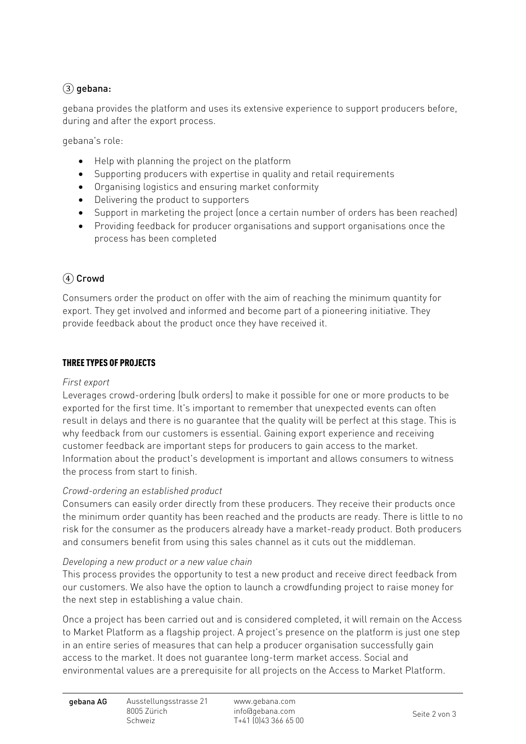# $(3)$  gebana:

gebana provides the platform and uses its extensive experience to support producers before, during and after the export process.

gebana's role:

- Help with planning the project on the platform
- Supporting producers with expertise in quality and retail requirements
- Organising logistics and ensuring market conformity
- Delivering the product to supporters
- Support in marketing the project (once a certain number of orders has been reached)
- Providing feedback for producer organisations and support organisations once the process has been completed

# ④ Crowd

Consumers order the product on offer with the aim of reaching the minimum quantity for export. They get involved and informed and become part of a pioneering initiative. They provide feedback about the product once they have received it.

#### **THREE TYPES OF PROJECTS**

### *First export*

Leverages crowd-ordering (bulk orders) to make it possible for one or more products to be exported for the first time. It's important to remember that unexpected events can often result in delays and there is no guarantee that the quality will be perfect at this stage. This is why feedback from our customers is essential. Gaining export experience and receiving customer feedback are important steps for producers to gain access to the market. Information about the product's development is important and allows consumers to witness the process from start to finish.

### *Crowd-ordering an established product*

Consumers can easily order directly from these producers. They receive their products once the minimum order quantity has been reached and the products are ready. There is little to no risk for the consumer as the producers already have a market-ready product. Both producers and consumers benefit from using this sales channel as it cuts out the middleman.

#### *Developing a new product or a new value chain*

This process provides the opportunity to test a new product and receive direct feedback from our customers. We also have the option to launch a crowdfunding project to raise money for the next step in establishing a value chain.

Once a project has been carried out and is considered completed, it will remain on the Access to Market Platform as a flagship project. A project's presence on the platform is just one step in an entire series of measures that can help a producer organisation successfully gain access to the market. It does not guarantee long-term market access. Social and environmental values are a prerequisite for all projects on the Access to Market Platform.